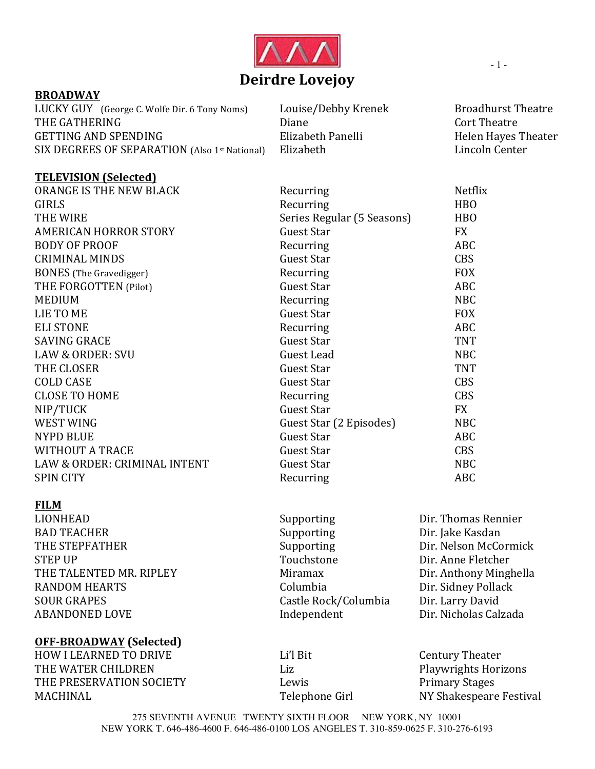

## **BROADWAY**

**TELEVISION** (Selected)

LUCKY GUY (George C. Wolfe Dir. 6 Tony Noms) Louise/Debby Krenek Broadhurst Theatre THE GATHERING  $\qquad \qquad$  Diane  $\qquad \qquad$  Cort Theatre GETTING AND SPENDING Elizabeth Panelli Belixabeth Panelli SIX DEGREES OF SEPARATION (Also 1<sup>st</sup> National) Elizabeth **Elizabeth** Lincoln Center

| TERRY ROLLY TOCHCHENT          |                            |            |
|--------------------------------|----------------------------|------------|
| ORANGE IS THE NEW BLACK        | Recurring                  | Netflix    |
| <b>GIRLS</b>                   | Recurring                  | <b>HBO</b> |
| THE WIRE                       | Series Regular (5 Seasons) | <b>HBO</b> |
| <b>AMERICAN HORROR STORY</b>   | <b>Guest Star</b>          | <b>FX</b>  |
| <b>BODY OF PROOF</b>           | Recurring                  | <b>ABC</b> |
| <b>CRIMINAL MINDS</b>          | <b>Guest Star</b>          | <b>CBS</b> |
| <b>BONES</b> (The Gravedigger) | Recurring                  | <b>FOX</b> |
| THE FORGOTTEN (Pilot)          | Guest Star                 | <b>ABC</b> |
| <b>MEDIUM</b>                  | Recurring                  | <b>NBC</b> |
| LIE TO ME                      | <b>Guest Star</b>          | <b>FOX</b> |
| <b>ELI STONE</b>               | Recurring                  | <b>ABC</b> |
| <b>SAVING GRACE</b>            | <b>Guest Star</b>          | <b>TNT</b> |
| <b>LAW &amp; ORDER: SVU</b>    | Guest Lead                 | <b>NBC</b> |
| THE CLOSER                     | <b>Guest Star</b>          | <b>TNT</b> |
| <b>COLD CASE</b>               | <b>Guest Star</b>          | <b>CBS</b> |
| <b>CLOSE TO HOME</b>           | Recurring                  | <b>CBS</b> |
| NIP/TUCK                       | <b>Guest Star</b>          | <b>FX</b>  |
| <b>WEST WING</b>               | Guest Star (2 Episodes)    | <b>NBC</b> |
| <b>NYPD BLUE</b>               | <b>Guest Star</b>          | <b>ABC</b> |
| <b>WITHOUT A TRACE</b>         | <b>Guest Star</b>          | <b>CBS</b> |
| LAW & ORDER: CRIMINAL INTENT   | <b>Guest Star</b>          | <b>NBC</b> |
| <b>SPIN CITY</b>               | Recurring                  | <b>ABC</b> |
|                                |                            |            |

# **FILM**

| LIONHEAD                | Supporting           | Dir. Thomas Rennier    |
|-------------------------|----------------------|------------------------|
| <b>BAD TEACHER</b>      | Supporting           | Dir. Jake Kasdan       |
| THE STEPFATHER          | Supporting           | Dir. Nelson McCormick  |
| <b>STEP UP</b>          | Touchstone           | Dir. Anne Fletcher     |
| THE TALENTED MR. RIPLEY | Miramax              | Dir. Anthony Minghella |
| <b>RANDOM HEARTS</b>    | Columbia             | Dir. Sidney Pollack    |
| <b>SOUR GRAPES</b>      | Castle Rock/Columbia | Dir. Larry David       |
| <b>ABANDONED LOVE</b>   | Independent          | Dir. Nicholas Calzada  |
|                         |                      |                        |

## **OFF?BROADWAY (Selected)**

HOW I LEARNED TO DRIVE Li'l Bit Easter Century Theater THE WATER CHILDREN<br>
Liz
Liz
Blaywrights Horizons THE PRESERVATION SOCIETY **Example 1** Lewis **Example 2** Primary Stages MACHINAL Telephone Girl NY Shakespeare Festival